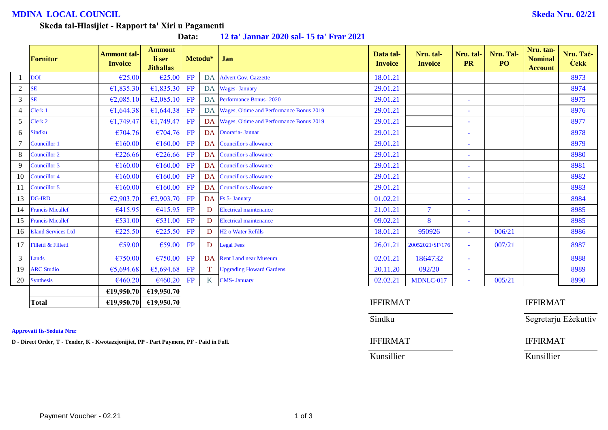## **MDINA LOCAL COUNCIL Skeda Nru. 02/21**

Segretarju Eżekuttiv

#### **Skeda tal-Ħlasijiet - Rapport ta' Xiri u Pagamenti**

**Data: 12 ta' Jannar 2020 sal- 15 ta' Frar 2021**

|                | Fornitur                | <b>Ammont tal-</b><br><b>Invoice</b> | <b>Ammont</b><br>li ser<br><b>Jithallas</b> |    | Metodu*         | Jan                                         | Data tal-<br><b>Invoice</b> | Nru. tal-<br><b>Invoice</b> | Nru. tal-<br><b>PR</b>   | Nru. Tal-<br>PO <sub>1</sub> | Nru. tan-<br><b>Nominal</b><br><b>Account</b> | Nru. Tač-<br><b>Cekk</b> |
|----------------|-------------------------|--------------------------------------|---------------------------------------------|----|-----------------|---------------------------------------------|-----------------------------|-----------------------------|--------------------------|------------------------------|-----------------------------------------------|--------------------------|
|                | <b>DOI</b>              | €25.00                               | €25.00                                      | FP | DA              | <b>Advert Gov. Gazzette</b>                 | 18.01.21                    |                             |                          |                              |                                               | 8973                     |
| $\overline{c}$ | <b>SE</b>               | €1,835.30                            | €1,835.30                                   | FP |                 | DA Wages-January                            | 29.01.21                    |                             |                          |                              |                                               | 8974                     |
| $\mathfrak{Z}$ | <b>SE</b>               | €2,085.10                            | E2,085.10                                   | FP |                 | DA Performance Bonus-2020                   | 29.01.21                    |                             | $\sim$                   |                              |                                               | 8975                     |
| 4              | Clerk 1                 | €1,644.38                            | £1,644.38                                   | FP |                 | DA Wages, O'time and Performance Bonus 2019 | 29.01.21                    |                             | $\sim$                   |                              |                                               | 8976                     |
| 5              | Clerk 2                 | €1,749.47                            | €1,749.47                                   | FP |                 | DA Wages, O'time and Performance Bonus 2019 | 29.01.21                    |                             | $\sim$                   |                              |                                               | 8977                     |
| 6              | Sindku                  | €704.76                              | €704.76                                     | FP |                 | DA Onoraria- Jannar                         | 29.01.21                    |                             | ۰                        |                              |                                               | 8978                     |
|                | Councillor 1            | €160.00                              | €160.00                                     | FP |                 | DA Councillor's allowance                   | 29.01.21                    |                             | $\overline{\phantom{a}}$ |                              |                                               | 8979                     |
| 8              | Councillor 2            | €226.66                              | €226.66                                     | FP |                 | DA Councillor's allowance                   | 29.01.21                    |                             | ٠                        |                              |                                               | 8980                     |
| 9              | Councillor 3            | €160.00                              | €160.00                                     | FP |                 | DA Councillor's allowance                   | 29.01.21                    |                             | $\overline{\phantom{a}}$ |                              |                                               | 8981                     |
| 10             | Councillor 4            | €160.00                              | €160.00                                     | FP |                 | DA Councillor's allowance                   | 29.01.21                    |                             | $\blacksquare$           |                              |                                               | 8982                     |
| 11             | Councillor 5            | €160.00                              | €160.00                                     | FP |                 | DA Councillor's allowance                   | 29.01.21                    |                             | ٠                        |                              |                                               | 8983                     |
| 13             | <b>DG-IRD</b>           | €2,903.70                            | E2,903.70                                   | FP |                 | DA Fs 5- January                            | 01.02.21                    |                             | ٠                        |                              |                                               | 8984                     |
| 14             | <b>Francis Micallef</b> | €415.95                              | €415.95                                     | FP | D               | <b>Electrical maintenance</b>               | 21.01.21                    | $\overline{\mathcal{L}}$    | $\sim$                   |                              |                                               | 8985                     |
| 15             | <b>Francis Micallef</b> | €531.00                              | €531.00                                     | FP | D               | <b>Electrical maintenance</b>               | 09.02.21                    | 8                           | $\sim$                   |                              |                                               | 8985                     |
|                | 16 Island Services Ltd  | €225.50                              | €225.50                                     | FP | D               | <b>H<sub>2</sub></b> o Water Refills        | 18.01.21                    | 950926                      | $\sim$                   | 006/21                       |                                               | 8986                     |
|                | 17 Filletti & Filletti  | €59.00                               | €59.00                                      | FP | D               | <b>Legal Fees</b>                           | 26.01.21                    | 20052021/SF/176             | $\sim$                   | 007/21                       |                                               | 8987                     |
| $\mathfrak{Z}$ | Lands                   | €750.00                              | €750.00                                     | FP |                 | DA Rent Land near Museum                    | 02.01.21                    | 1864732                     | $\overline{\phantom{a}}$ |                              |                                               | 8988                     |
| 19             | <b>ARC Studio</b>       | €5,694.68                            | €5,694.68                                   | FP |                 | <b>Upgrading Howard Gardens</b>             | 20.11.20                    | 092/20                      | $\overline{\phantom{a}}$ |                              |                                               | 8989                     |
| 20             | Synthesis               | €460.20                              | €460.20                                     | FP | $K_{\parallel}$ | <b>CMS- January</b>                         | 02.02.21                    | MDNLC-017                   | $\sim$                   | 005/21                       |                                               | 8990                     |
|                |                         | €19,950.70                           | €19,950.70                                  |    |                 |                                             |                             |                             |                          |                              |                                               |                          |
|                | les a s                 | 0.40000000                           | $0.40.050$ = 0.                             |    |                 |                                             |                             |                             |                          |                              | T T T T T R A                                 |                          |

**Approvati fis-Seduta Nru:**

|                      | CLZ, JJU, I VI<br>UL/1/0010                                                        |                 |                 |
|----------------------|------------------------------------------------------------------------------------|-----------------|-----------------|
| <b>Total</b>         | £19,950.70<br>€19,950.70                                                           | <b>IFFIRMAT</b> | <b>IFFIRMAT</b> |
|                      |                                                                                    | Sindku          | Segretarju I    |
| vati fis-Seduta Nru: |                                                                                    |                 |                 |
|                      | rect Order, T - Tender, K - Kwotazzjonijiet, PP - Part Payment, PF - Paid in Full. | <b>IFFIRMAT</b> | <b>IFFIRMAT</b> |
|                      |                                                                                    | Kunsillier      | Kunsillier      |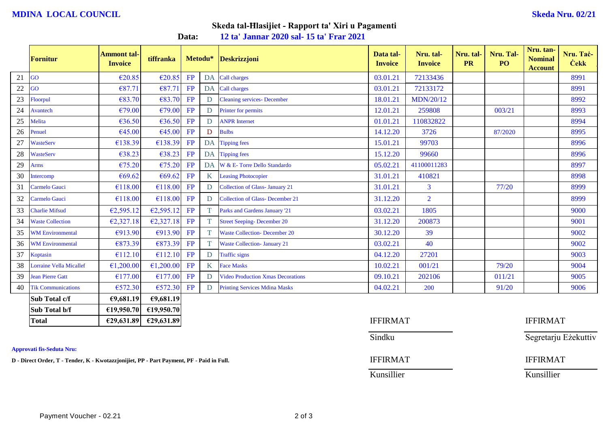#### **MDINA LOCAL COUNCIL Skeda Nru. 02/21**

## **Skeda tal-Ħlasijiet - Rapport ta' Xiri u Pagamenti**

**Data: 12 ta' Jannar 2020 sal- 15 ta' Frar 2021**

|        | Fornitur                       | <b>Ammont tal-</b><br><b>Invoice</b> | tiffranka  |    | Metodu*      | <b>Deskrizzjoni</b>                      | Data tal-<br><b>Invoice</b> | Nru. tal-<br><b>Invoice</b> | Nru. tal-<br><b>PR</b> | Nru. Tal-<br>PO <sub>1</sub> | Nru. tan-<br><b>Nominal</b><br><b>Account</b> | Nru. Taċ-<br><b>Cekk</b> |
|--------|--------------------------------|--------------------------------------|------------|----|--------------|------------------------------------------|-----------------------------|-----------------------------|------------------------|------------------------------|-----------------------------------------------|--------------------------|
| 21     | GO                             | €20.85                               | E20.85     | FP | <b>DA</b>    | Call charges                             | 03.01.21                    | 72133436                    |                        |                              |                                               | 8991                     |
| $22\,$ | GO                             | €87.71                               | €87.71     | FP | DA           | Call charges                             | 03.01.21                    | 72133172                    |                        |                              |                                               | 8991                     |
| 23     | <b>Floorpul</b>                | €83.70                               | €83.70     | FP | D            | <b>Cleaning services- December</b>       | 18.01.21                    | <b>MDN/20/12</b>            |                        |                              |                                               | 8992                     |
| 24     | Avantech                       | €79.00                               | €79.00     | FP | D            | Printer for permits                      | 12.01.21                    | 259808                      |                        | 003/21                       |                                               | 8993                     |
| 25     | Melita                         | €36.50                               | €36.50     | FP | D            | <b>ANPR</b> Internet                     | 01.01.21                    | 110832822                   |                        |                              |                                               | 8994                     |
| 26     | Penuel                         | €45.00                               | €45.00     | FP | D            | <b>Bulbs</b>                             | 14.12.20                    | 3726                        |                        | 87/2020                      |                                               | 8995                     |
| 27     | <b>WasteServ</b>               | €138.39                              | €138.39    | FP | DA           | <b>Tipping fees</b>                      | 15.01.21                    | 99703                       |                        |                              |                                               | 8996                     |
| 28     | <b>WasteServ</b>               | €38.23                               | €38.23     | FP | DA           | <b>Tipping fees</b>                      | 15.12.20                    | 99660                       |                        |                              |                                               | 8996                     |
| 29     | <b>Arms</b>                    | €75.20                               | €75.20     | FP | <b>DA</b>    | W & E- Torre Dello Standardo             | 05.02.21                    | 41100011283                 |                        |                              |                                               | 8997                     |
| $30\,$ | Intercomp                      | €69.62                               | €69.62     | FP | K            | <b>Leasing Photocopier</b>               | 31.01.21                    | 410821                      |                        |                              |                                               | 8998                     |
| 31     | <b>Carmelo Gauci</b>           | €118.00                              | €118.00    | FP | D            | Collection of Glass- January 21          | 31.01.21                    | 3                           |                        | 77/20                        |                                               | 8999                     |
| 32     | <b>Carmelo Gauci</b>           | €118.00                              | €118.00    | FP | D            | <b>Collection of Glass- December 21</b>  | 31.12.20                    | $\overline{2}$              |                        |                              |                                               | 8999                     |
| 33     | <b>Charlie Mifsud</b>          | €2,595.12                            | €2,595.12  | FP |              | Parks and Gardens January '21            | 03.02.21                    | 1805                        |                        |                              |                                               | 9000                     |
| 34     | <b>Waste Collection</b>        | €2,327.18                            | €2,327.18  | FP |              | <b>Street Seeping- December 20</b>       | 31.12.20                    | 200873                      |                        |                              |                                               | 9001                     |
| 35     | <b>WM Environmental</b>        | €913.90                              | €913.90    | FP |              | <b>Waste Collection- December 20</b>     | 30.12.20                    | 39                          |                        |                              |                                               | 9002                     |
| 36     | <b>WM</b> Environmental        | €873.39                              | €873.39    | FP | <sup>T</sup> | <b>Waste Collection- January 21</b>      | 03.02.21                    | 40                          |                        |                              |                                               | 9002                     |
| 37     | Koptasin                       | €112.10                              | €112.10    | FP | D            | <b>Traffic signs</b>                     | 04.12.20                    | 27201                       |                        |                              |                                               | 9003                     |
| 38     | <b>Lorraine Vella Micallef</b> | €1,200.00                            | €1,200.00  | FP | K            | <b>Face Masks</b>                        | 10.02.21                    | 001/21                      |                        | 79/20                        |                                               | 9004                     |
| 39     | <b>Jean Pierre Gatt</b>        | €177.00                              | €177.00    | FP | D            | <b>Video Production Xmas Decorations</b> | 09.10.21                    | 202106                      |                        | 011/21                       |                                               | 9005                     |
| 40     | <b>Tik Communications</b>      | €572.30                              | €572.30    | FP | D            | <b>Printing Services Mdina Masks</b>     | 04.02.21                    | 200                         |                        | 91/20                        |                                               | 9006                     |
|        | Sub Total c/f                  | €9,681.19                            | €9,681.19  |    |              |                                          |                             |                             |                        |                              |                                               |                          |
|        | Sub Total b/f                  | £19,950.70                           | €19,950.70 |    |              |                                          |                             |                             |                        |                              |                                               |                          |
|        | <b>Total</b>                   | £29,631.89                           | E29,631.89 |    |              |                                          | <b>IFFIRMAT</b>             |                             |                        |                              | <b>IFFIRMAT</b>                               |                          |

**Approvati fis-Seduta Nru:**

**D** - Direct Order, T - Tender, K - Kwotazzjonijiet, PP - Part Payment, PF - Paid in Full. **IFFIRMAT** IFFIRMAT

Sindku Segretarju Eżekuttiv

Kunsillier Kunsillier